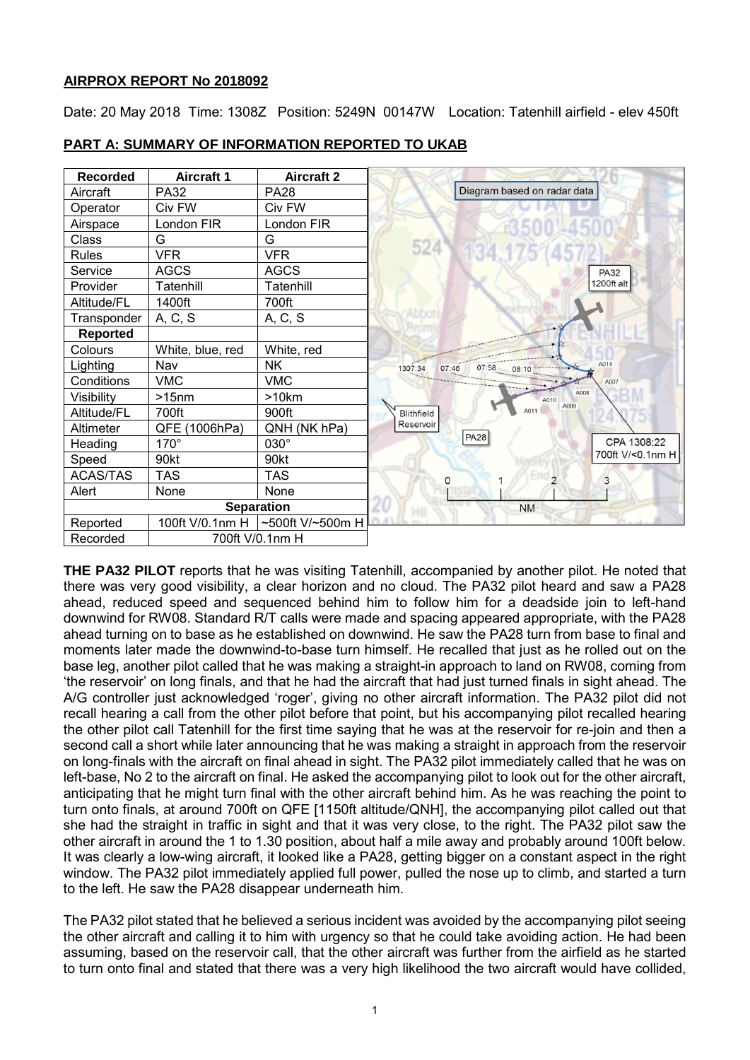# **AIRPROX REPORT No 2018092**

Date: 20 May 2018 Time: 1308Z Position: 5249N 00147W Location: Tatenhill airfield - elev 450ft



# **PART A: SUMMARY OF INFORMATION REPORTED TO UKAB**

**THE PA32 PILOT** reports that he was visiting Tatenhill, accompanied by another pilot. He noted that there was very good visibility, a clear horizon and no cloud. The PA32 pilot heard and saw a PA28 ahead, reduced speed and sequenced behind him to follow him for a deadside join to left-hand downwind for RW08. Standard R/T calls were made and spacing appeared appropriate, with the PA28 ahead turning on to base as he established on downwind. He saw the PA28 turn from base to final and moments later made the downwind-to-base turn himself. He recalled that just as he rolled out on the base leg, another pilot called that he was making a straight-in approach to land on RW08, coming from 'the reservoir' on long finals, and that he had the aircraft that had just turned finals in sight ahead. The A/G controller just acknowledged 'roger', giving no other aircraft information. The PA32 pilot did not recall hearing a call from the other pilot before that point, but his accompanying pilot recalled hearing the other pilot call Tatenhill for the first time saying that he was at the reservoir for re-join and then a second call a short while later announcing that he was making a straight in approach from the reservoir on long-finals with the aircraft on final ahead in sight. The PA32 pilot immediately called that he was on left-base, No 2 to the aircraft on final. He asked the accompanying pilot to look out for the other aircraft, anticipating that he might turn final with the other aircraft behind him. As he was reaching the point to turn onto finals, at around 700ft on QFE [1150ft altitude/QNH], the accompanying pilot called out that she had the straight in traffic in sight and that it was very close, to the right. The PA32 pilot saw the other aircraft in around the 1 to 1.30 position, about half a mile away and probably around 100ft below. It was clearly a low-wing aircraft, it looked like a PA28, getting bigger on a constant aspect in the right window. The PA32 pilot immediately applied full power, pulled the nose up to climb, and started a turn to the left. He saw the PA28 disappear underneath him.

The PA32 pilot stated that he believed a serious incident was avoided by the accompanying pilot seeing the other aircraft and calling it to him with urgency so that he could take avoiding action. He had been assuming, based on the reservoir call, that the other aircraft was further from the airfield as he started to turn onto final and stated that there was a very high likelihood the two aircraft would have collided,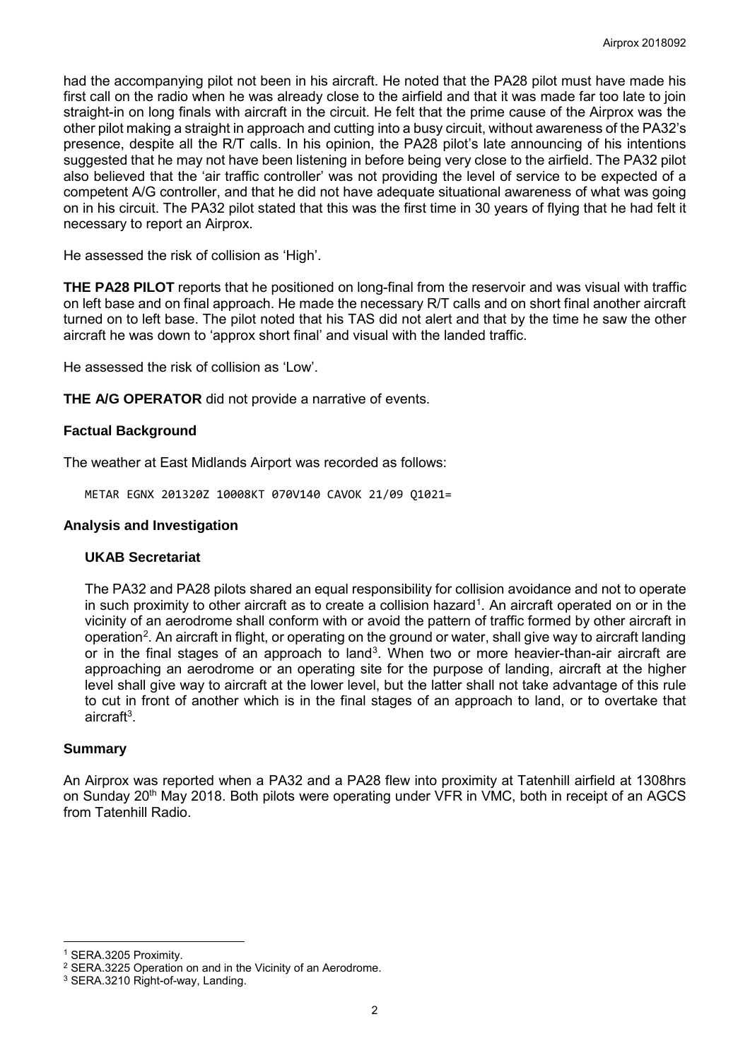had the accompanying pilot not been in his aircraft. He noted that the PA28 pilot must have made his first call on the radio when he was already close to the airfield and that it was made far too late to join straight-in on long finals with aircraft in the circuit. He felt that the prime cause of the Airprox was the other pilot making a straight in approach and cutting into a busy circuit, without awareness of the PA32's presence, despite all the R/T calls. In his opinion, the PA28 pilot's late announcing of his intentions suggested that he may not have been listening in before being very close to the airfield. The PA32 pilot also believed that the 'air traffic controller' was not providing the level of service to be expected of a competent A/G controller, and that he did not have adequate situational awareness of what was going on in his circuit. The PA32 pilot stated that this was the first time in 30 years of flying that he had felt it necessary to report an Airprox.

He assessed the risk of collision as 'High'.

**THE PA28 PILOT** reports that he positioned on long-final from the reservoir and was visual with traffic on left base and on final approach. He made the necessary R/T calls and on short final another aircraft turned on to left base. The pilot noted that his TAS did not alert and that by the time he saw the other aircraft he was down to 'approx short final' and visual with the landed traffic.

He assessed the risk of collision as 'Low'.

**THE A/G OPERATOR** did not provide a narrative of events.

## **Factual Background**

The weather at East Midlands Airport was recorded as follows:

METAR EGNX 201320Z 10008KT 070V140 CAVOK 21/09 Q1021=

#### **Analysis and Investigation**

## **UKAB Secretariat**

The PA32 and PA28 pilots shared an equal responsibility for collision avoidance and not to operate in such proximity to other aircraft as to create a collision hazard<sup>[1](#page-1-0)</sup>. An aircraft operated on or in the vicinity of an aerodrome shall conform with or avoid the pattern of traffic formed by other aircraft in operation<sup>[2](#page-1-1)</sup>. An aircraft in flight, or operating on the ground or water, shall give way to aircraft landing or in the final stages of an approach to land<sup>[3](#page-1-2)</sup>. When two or more heavier-than-air aircraft are approaching an aerodrome or an operating site for the purpose of landing, aircraft at the higher level shall give way to aircraft at the lower level, but the latter shall not take advantage of this rule to cut in front of another which is in the final stages of an approach to land, or to overtake that aircraft<sup>3</sup>.

#### **Summary**

An Airprox was reported when a PA32 and a PA28 flew into proximity at Tatenhill airfield at 1308hrs on Sunday 20<sup>th</sup> May 2018. Both pilots were operating under VFR in VMC, both in receipt of an AGCS from Tatenhill Radio.

 $\overline{\phantom{a}}$ 

<span id="page-1-0"></span><sup>1</sup> SERA.3205 Proximity.

<span id="page-1-1"></span><sup>&</sup>lt;sup>2</sup> SERA.3225 Operation on and in the Vicinity of an Aerodrome.<br><sup>3</sup> SERA.3210 Right-of-way, Landing.

<span id="page-1-2"></span>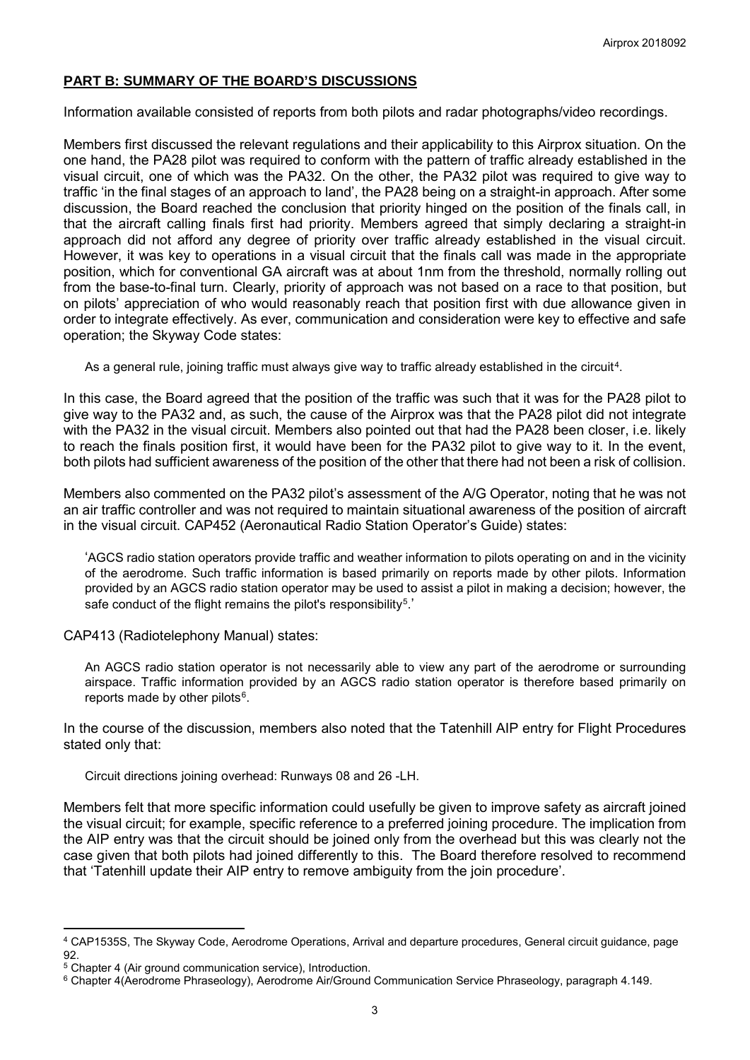# **PART B: SUMMARY OF THE BOARD'S DISCUSSIONS**

Information available consisted of reports from both pilots and radar photographs/video recordings.

Members first discussed the relevant regulations and their applicability to this Airprox situation. On the one hand, the PA28 pilot was required to conform with the pattern of traffic already established in the visual circuit, one of which was the PA32. On the other, the PA32 pilot was required to give way to traffic 'in the final stages of an approach to land', the PA28 being on a straight-in approach. After some discussion, the Board reached the conclusion that priority hinged on the position of the finals call, in that the aircraft calling finals first had priority. Members agreed that simply declaring a straight-in approach did not afford any degree of priority over traffic already established in the visual circuit. However, it was key to operations in a visual circuit that the finals call was made in the appropriate position, which for conventional GA aircraft was at about 1nm from the threshold, normally rolling out from the base-to-final turn. Clearly, priority of approach was not based on a race to that position, but on pilots' appreciation of who would reasonably reach that position first with due allowance given in order to integrate effectively. As ever, communication and consideration were key to effective and safe operation; the Skyway Code states:

As a general rule, joining traffic must always give way to traffic already established in the circuit<sup>4</sup>.

In this case, the Board agreed that the position of the traffic was such that it was for the PA28 pilot to give way to the PA32 and, as such, the cause of the Airprox was that the PA28 pilot did not integrate with the PA32 in the visual circuit. Members also pointed out that had the PA28 been closer, i.e. likely to reach the finals position first, it would have been for the PA32 pilot to give way to it. In the event, both pilots had sufficient awareness of the position of the other that there had not been a risk of collision.

Members also commented on the PA32 pilot's assessment of the A/G Operator, noting that he was not an air traffic controller and was not required to maintain situational awareness of the position of aircraft in the visual circuit. CAP452 (Aeronautical Radio Station Operator's Guide) states:

'AGCS radio station operators provide traffic and weather information to pilots operating on and in the vicinity of the aerodrome. Such traffic information is based primarily on reports made by other pilots. Information provided by an AGCS radio station operator may be used to assist a pilot in making a decision; however, the safe conduct of the flight remains the pilot's responsibility<sup>5</sup>.'

CAP413 (Radiotelephony Manual) states:

An AGCS radio station operator is not necessarily able to view any part of the aerodrome or surrounding airspace. Traffic information provided by an AGCS radio station operator is therefore based primarily on reports made by other pilots<sup>[6](#page-2-2)</sup>.

In the course of the discussion, members also noted that the Tatenhill AIP entry for Flight Procedures stated only that:

Circuit directions joining overhead: Runways 08 and 26 -LH.

Members felt that more specific information could usefully be given to improve safety as aircraft joined the visual circuit; for example, specific reference to a preferred joining procedure. The implication from the AIP entry was that the circuit should be joined only from the overhead but this was clearly not the case given that both pilots had joined differently to this. The Board therefore resolved to recommend that 'Tatenhill update their AIP entry to remove ambiguity from the join procedure'.

 $\overline{a}$ 

<span id="page-2-0"></span><sup>4</sup> CAP1535S, The Skyway Code, Aerodrome Operations, Arrival and departure procedures, General circuit guidance, page

<span id="page-2-1"></span><sup>&</sup>lt;sup>5</sup> Chapter 4 (Air ground communication service), Introduction.

<span id="page-2-2"></span><sup>6</sup> Chapter 4(Aerodrome Phraseology), Aerodrome Air/Ground Communication Service Phraseology, paragraph 4.149.